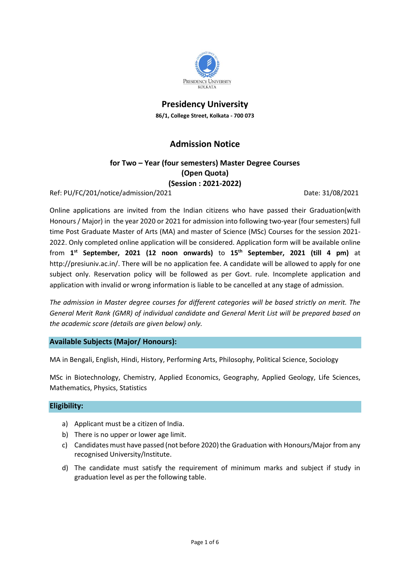

**Presidency University 86/1, College Street, Kolkata - 700 073**

# **Admission Notice**

# **for Two – Year (four semesters) Master Degree Courses (Open Quota) (Session : 2021-2022)**

Ref: PU/FC/201/notice/admission/2021 Date: 31/08/2021

Online applications are invited from the Indian citizens who have passed their Graduation(with Honours / Major) in the year 2020 or 2021 for admission into following two-year (four semesters) full time Post Graduate Master of Arts (MA) and master of Science (MSc) Courses for the session 2021- 2022. Only completed online application will be considered. Application form will be available online from **1 st September, 2021 (12 noon onwards)** to **15 th September, 2021 (till 4 pm)** at http://presiuniv.ac.in/. There will be no application fee. A candidate will be allowed to apply for one subject only. Reservation policy will be followed as per Govt. rule. Incomplete application and application with invalid or wrong information is liable to be cancelled at any stage of admission.

*The admission in Master degree courses for different categories will be based strictly on merit. The General Merit Rank (GMR) of individual candidate and General Merit List will be prepared based on the academic score (details are given below) only.* 

**Available Subjects (Major/ Honours):**

MA in Bengali, English, Hindi, History, Performing Arts, Philosophy, Political Science, Sociology

MSc in Biotechnology, Chemistry, Applied Economics, Geography, Applied Geology, Life Sciences, Mathematics, Physics, Statistics

# **Eligibility:**

- a) Applicant must be a citizen of India.
- b) There is no upper or lower age limit.
- c) Candidates must have passed (not before 2020) the Graduation with Honours/Major from any recognised University/Institute.
- d) The candidate must satisfy the requirement of minimum marks and subject if study in graduation level as per the following table.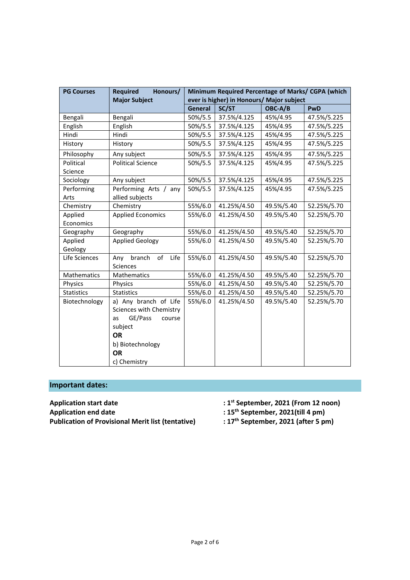| <b>PG Courses</b>    | <b>Required</b><br>Honours/ | Minimum Required Percentage of Marks/ CGPA (which       |             |            |             |  |
|----------------------|-----------------------------|---------------------------------------------------------|-------------|------------|-------------|--|
| <b>Major Subject</b> |                             | ever is higher) in Honours/ Major subject<br><b>PwD</b> |             |            |             |  |
|                      |                             | <b>General</b>                                          | SC/ST       | OBC-A/B    |             |  |
| Bengali              | Bengali                     | 50%/5.5                                                 | 37.5%/4.125 | 45%/4.95   | 47.5%/5.225 |  |
| English              | English                     | 50%/5.5                                                 | 37.5%/4.125 | 45%/4.95   | 47.5%/5.225 |  |
| Hindi                | Hindi                       | 50%/5.5                                                 | 37.5%/4.125 | 45%/4.95   | 47.5%/5.225 |  |
| History              | History                     | 50%/5.5                                                 | 37.5%/4.125 | 45%/4.95   | 47.5%/5.225 |  |
| Philosophy           | Any subject                 | 50%/5.5                                                 | 37.5%/4.125 | 45%/4.95   | 47.5%/5.225 |  |
| Political            | <b>Political Science</b>    | 50%/5.5                                                 | 37.5%/4.125 | 45%/4.95   | 47.5%/5.225 |  |
| Science              |                             |                                                         |             |            |             |  |
| Sociology            | Any subject                 | 50%/5.5                                                 | 37.5%/4.125 | 45%/4.95   | 47.5%/5.225 |  |
| Performing           | Performing Arts /<br>any    | 50%/5.5                                                 | 37.5%/4.125 | 45%/4.95   | 47.5%/5.225 |  |
| Arts                 | allied subjects             |                                                         |             |            |             |  |
| Chemistry            | Chemistry                   | 55%/6.0                                                 | 41.25%/4.50 | 49.5%/5.40 | 52.25%/5.70 |  |
| Applied              | <b>Applied Economics</b>    | 55%/6.0                                                 | 41.25%/4.50 | 49.5%/5.40 | 52.25%/5.70 |  |
| Economics            |                             |                                                         |             |            |             |  |
| Geography            | Geography                   | 55%/6.0                                                 | 41.25%/4.50 | 49.5%/5.40 | 52.25%/5.70 |  |
| Applied              | <b>Applied Geology</b>      | 55%/6.0                                                 | 41.25%/4.50 | 49.5%/5.40 | 52.25%/5.70 |  |
| Geology              |                             |                                                         |             |            |             |  |
| Life Sciences        | branch<br>of<br>Life<br>Any | 55%/6.0                                                 | 41.25%/4.50 | 49.5%/5.40 | 52.25%/5.70 |  |
|                      | Sciences                    |                                                         |             |            |             |  |
| Mathematics          | Mathematics                 | 55%/6.0                                                 | 41.25%/4.50 | 49.5%/5.40 | 52.25%/5.70 |  |
| Physics              | Physics                     | 55%/6.0                                                 | 41.25%/4.50 | 49.5%/5.40 | 52.25%/5.70 |  |
| <b>Statistics</b>    | <b>Statistics</b>           | 55%/6.0                                                 | 41.25%/4.50 | 49.5%/5.40 | 52.25%/5.70 |  |
| Biotechnology        | a) Any branch of Life       | 55%/6.0                                                 | 41.25%/4.50 | 49.5%/5.40 | 52.25%/5.70 |  |
|                      | Sciences with Chemistry     |                                                         |             |            |             |  |
|                      | GE/Pass<br>course<br>as     |                                                         |             |            |             |  |
|                      | subject                     |                                                         |             |            |             |  |
|                      | <b>OR</b>                   |                                                         |             |            |             |  |
|                      | b) Biotechnology            |                                                         |             |            |             |  |
|                      | <b>OR</b>                   |                                                         |             |            |             |  |
|                      | c) Chemistry                |                                                         |             |            |             |  |

# **Important dates:**

**Application start date Application end date Publication of Provisional Merit list (tentative)**  **st September, 2021 (From 12 noon)** 

**4 15<sup>th</sup> September, 2021(till 4 pm)**<br> **2021** (after 5 pm)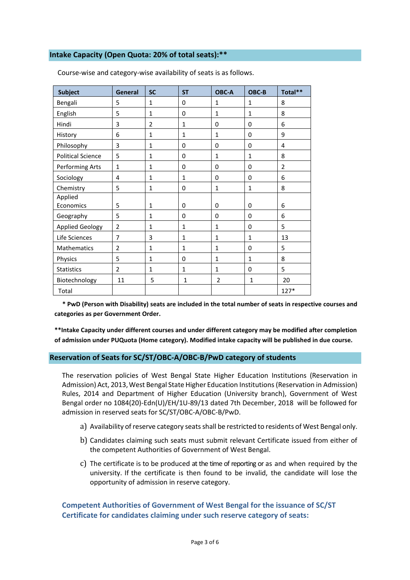# **Intake Capacity (Open Quota: 20% of total seats):\*\***

| <b>Subject</b>           | <b>General</b> | <b>SC</b>      | <b>ST</b>    | OBC-A        | OBC-B        | Total**        |
|--------------------------|----------------|----------------|--------------|--------------|--------------|----------------|
| Bengali                  | 5              | $\mathbf 1$    | 0            | $\mathbf{1}$ | $\mathbf{1}$ | 8              |
| English                  | 5              | $\mathbf{1}$   | 0            | $\mathbf{1}$ | $\mathbf{1}$ | 8              |
| Hindi                    | 3              | $\overline{2}$ | $\mathbf{1}$ | $\mathbf 0$  | $\mathbf 0$  | 6              |
| History                  | 6              | 1              | 1            | $\mathbf{1}$ | 0            | 9              |
| Philosophy               | 3              | $\mathbf{1}$   | 0            | $\Omega$     | 0            | 4              |
| <b>Political Science</b> | 5              | $\mathbf{1}$   | 0            | $\mathbf{1}$ | $\mathbf{1}$ | 8              |
| Performing Arts          | $\mathbf{1}$   | $\mathbf{1}$   | $\Omega$     | $\Omega$     | $\Omega$     | $\overline{2}$ |
| Sociology                | 4              | $\mathbf{1}$   | $\mathbf{1}$ | $\mathbf 0$  | 0            | 6              |
| Chemistry                | 5              | $\mathbf{1}$   | 0            | $\mathbf{1}$ | $\mathbf{1}$ | 8              |
| Applied                  |                |                |              |              |              |                |
| Economics                | 5              | $\mathbf{1}$   | 0            | $\mathbf 0$  | $\Omega$     | 6              |
| Geography                | 5              | $\mathbf{1}$   | $\Omega$     | $\Omega$     | $\Omega$     | 6              |
| <b>Applied Geology</b>   | $\overline{2}$ | $\mathbf{1}$   | $\mathbf{1}$ | $\mathbf{1}$ | 0            | 5              |
| Life Sciences            | $\overline{7}$ | 3              | $\mathbf{1}$ | $\mathbf{1}$ | $\mathbf{1}$ | 13             |
| Mathematics              | $\overline{2}$ | $\mathbf{1}$   | $\mathbf{1}$ | $\mathbf{1}$ | $\Omega$     | 5              |
| Physics                  | 5              | $\mathbf{1}$   | 0            | $\mathbf{1}$ | $\mathbf{1}$ | 8              |
| <b>Statistics</b>        | $\overline{2}$ | $\mathbf 1$    | $\mathbf{1}$ | 1            | 0            | 5              |
| Biotechnology            | 11             | 5              | 1            | 2            | $\mathbf{1}$ | 20             |
| Total                    |                |                |              |              |              | $127*$         |

Course-wise and category-wise availability of seats is as follows.

 **\* PwD (Person with Disability) seats are included in the total number of seats in respective courses and categories as per Government Order.**

**\*\*Intake Capacity under different courses and under different category may be modified after completion of admission under PUQuota (Home category). Modified intake capacity will be published in due course.**

#### **Reservation of Seats for SC/ST/OBC-A/OBC-B/PwD category of students**

The reservation policies of West Bengal State Higher Education Institutions (Reservation in Admission) Act, 2013, West Bengal State Higher Education Institutions (Reservation in Admission) Rules, 2014 and Department of Higher Education (University branch), Government of West Bengal order no 1084(20)-Edn(U)/EH/1U-89/13 dated 7th December, 2018 will be followed for admission in reserved seats for SC/ST/OBC-A/OBC-B/PwD.

- a) Availability of reserve category seats shall be restricted to residents of West Bengal only.
- b) Candidates claiming such seats must submit relevant Certificate issued from either of the competent Authorities of Government of West Bengal.
- c) The certificate is to be produced at the time of reporting or as and when required by the university. If the certificate is then found to be invalid, the candidate will lose the opportunity of admission in reserve category.

# **Competent Authorities of Government of West Bengal for the issuance of SC/ST Certificate for candidates claiming under such reserve category of seats:**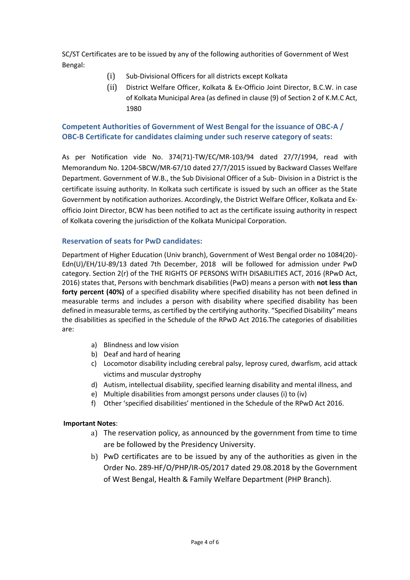SC/ST Certificates are to be issued by any of the following authorities of Government of West Bengal:

- (i) Sub-Divisional Officers for all districts except Kolkata
- (ii) District Welfare Officer, Kolkata & Ex-Officio Joint Director, B.C.W. in case of Kolkata Municipal Area (as defined in clause (9) of Section 2 of K.M.C Act, 1980

# **Competent Authorities of Government of West Bengal for the issuance of OBC-A / OBC-B Certificate for candidates claiming under such reserve category of seats:**

As per Notification vide No. 374(71)-TW/EC/MR-103/94 dated 27/7/1994, read with Memorandum No. 1204-SBCW/MR-67/10 dated 27/7/2015 issued by Backward Classes Welfare Department. Government of W.B., the Sub Divisional Officer of a Sub- Division in a District is the certificate issuing authority. In Kolkata such certificate is issued by such an officer as the State Government by notification authorizes. Accordingly, the District Welfare Officer, Kolkata and Exofficio Joint Director, BCW has been notified to act as the certificate issuing authority in respect of Kolkata covering the jurisdiction of the Kolkata Municipal Corporation.

# **Reservation of seats for PwD candidates:**

Department of Higher Education (Univ branch), Government of West Bengal order no 1084(20)- Edn(U)/EH/1U-89/13 dated 7th December, 2018 will be followed for admission under PwD category. Section 2(r) of the THE RIGHTS OF PERSONS WITH DISABILITIES ACT, 2016 (RPwD Act, 2016) states that, Persons with benchmark disabilities (PwD) means a person with **not less than forty percent (40%)** of a specified disability where specified disability has not been defined in measurable terms and includes a person with disability where specified disability has been defined in measurable terms, as certified by the certifying authority. "Specified Disability" means the disabilities as specified in the Schedule of the RPwD Act 2016.The categories of disabilities are:

- a) Blindness and low vision
- b) Deaf and hard of hearing
- c) Locomotor disability including cerebral palsy, leprosy cured, dwarfism, acid attack victims and muscular dystrophy
- d) Autism, intellectual disability, specified learning disability and mental illness, and
- e) Multiple disabilities from amongst persons under clauses (i) to (iv)
- f) Other 'specified disabilities' mentioned in the Schedule of the RPwD Act 2016.

# **Important Notes**:

- a) The reservation policy, as announced by the government from time to time are be followed by the Presidency University.
- b) PwD certificates are to be issued by any of the authorities as given in the Order No. 289-HF/O/PHP/IR-05/2017 dated 29.08.2018 by the Government of West Bengal, Health & Family Welfare Department (PHP Branch).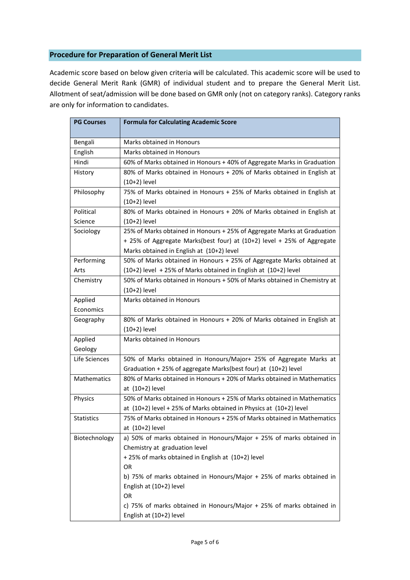#### **Procedure for Preparation of General Merit List**

Academic score based on below given criteria will be calculated. This academic score will be used to decide General Merit Rank (GMR) of individual student and to prepare the General Merit List. Allotment of seat/admission will be done based on GMR only (not on category ranks). Category ranks are only for information to candidates.

| <b>PG Courses</b> | <b>Formula for Calculating Academic Score</b>                                              |  |  |
|-------------------|--------------------------------------------------------------------------------------------|--|--|
|                   | Marks obtained in Honours                                                                  |  |  |
| Bengali           |                                                                                            |  |  |
| English           | Marks obtained in Honours                                                                  |  |  |
| Hindi             | 60% of Marks obtained in Honours + 40% of Aggregate Marks in Graduation                    |  |  |
| History           | 80% of Marks obtained in Honours + 20% of Marks obtained in English at<br>$(10+2)$ level   |  |  |
| Philosophy        | 75% of Marks obtained in Honours + 25% of Marks obtained in English at                     |  |  |
|                   | $(10+2)$ level                                                                             |  |  |
| Political         | 80% of Marks obtained in Honours + 20% of Marks obtained in English at                     |  |  |
| Science           | $(10+2)$ level                                                                             |  |  |
| Sociology         | 25% of Marks obtained in Honours + 25% of Aggregate Marks at Graduation                    |  |  |
|                   | + 25% of Aggregate Marks(best four) at (10+2) level + 25% of Aggregate                     |  |  |
|                   | Marks obtained in English at (10+2) level                                                  |  |  |
| Performing        | 50% of Marks obtained in Honours + 25% of Aggregate Marks obtained at                      |  |  |
| Arts              | $(10+2)$ level + 25% of Marks obtained in English at $(10+2)$ level                        |  |  |
| Chemistry         | 50% of Marks obtained in Honours + 50% of Marks obtained in Chemistry at                   |  |  |
|                   | $(10+2)$ level                                                                             |  |  |
| Applied           | Marks obtained in Honours                                                                  |  |  |
| Economics         |                                                                                            |  |  |
| Geography         | 80% of Marks obtained in Honours + 20% of Marks obtained in English at                     |  |  |
|                   | $(10+2)$ level                                                                             |  |  |
| Applied           | <b>Marks obtained in Honours</b>                                                           |  |  |
| Geology           |                                                                                            |  |  |
| Life Sciences     | 50% of Marks obtained in Honours/Major+ 25% of Aggregate Marks at                          |  |  |
|                   | Graduation + 25% of aggregate Marks(best four) at (10+2) level                             |  |  |
| Mathematics       | 80% of Marks obtained in Honours + 20% of Marks obtained in Mathematics<br>at (10+2) level |  |  |
| Physics           | 50% of Marks obtained in Honours + 25% of Marks obtained in Mathematics                    |  |  |
|                   | at (10+2) level + 25% of Marks obtained in Physics at (10+2) level                         |  |  |
| <b>Statistics</b> | 75% of Marks obtained in Honours + 25% of Marks obtained in Mathematics                    |  |  |
|                   | at (10+2) level                                                                            |  |  |
| Biotechnology     | a) 50% of marks obtained in Honours/Major + 25% of marks obtained in                       |  |  |
|                   | Chemistry at graduation level                                                              |  |  |
|                   | +25% of marks obtained in English at (10+2) level                                          |  |  |
|                   | OR                                                                                         |  |  |
|                   | b) 75% of marks obtained in Honours/Major + 25% of marks obtained in                       |  |  |
|                   | English at (10+2) level                                                                    |  |  |
|                   | <b>OR</b>                                                                                  |  |  |
|                   | c) 75% of marks obtained in Honours/Major + 25% of marks obtained in                       |  |  |
|                   | English at (10+2) level                                                                    |  |  |